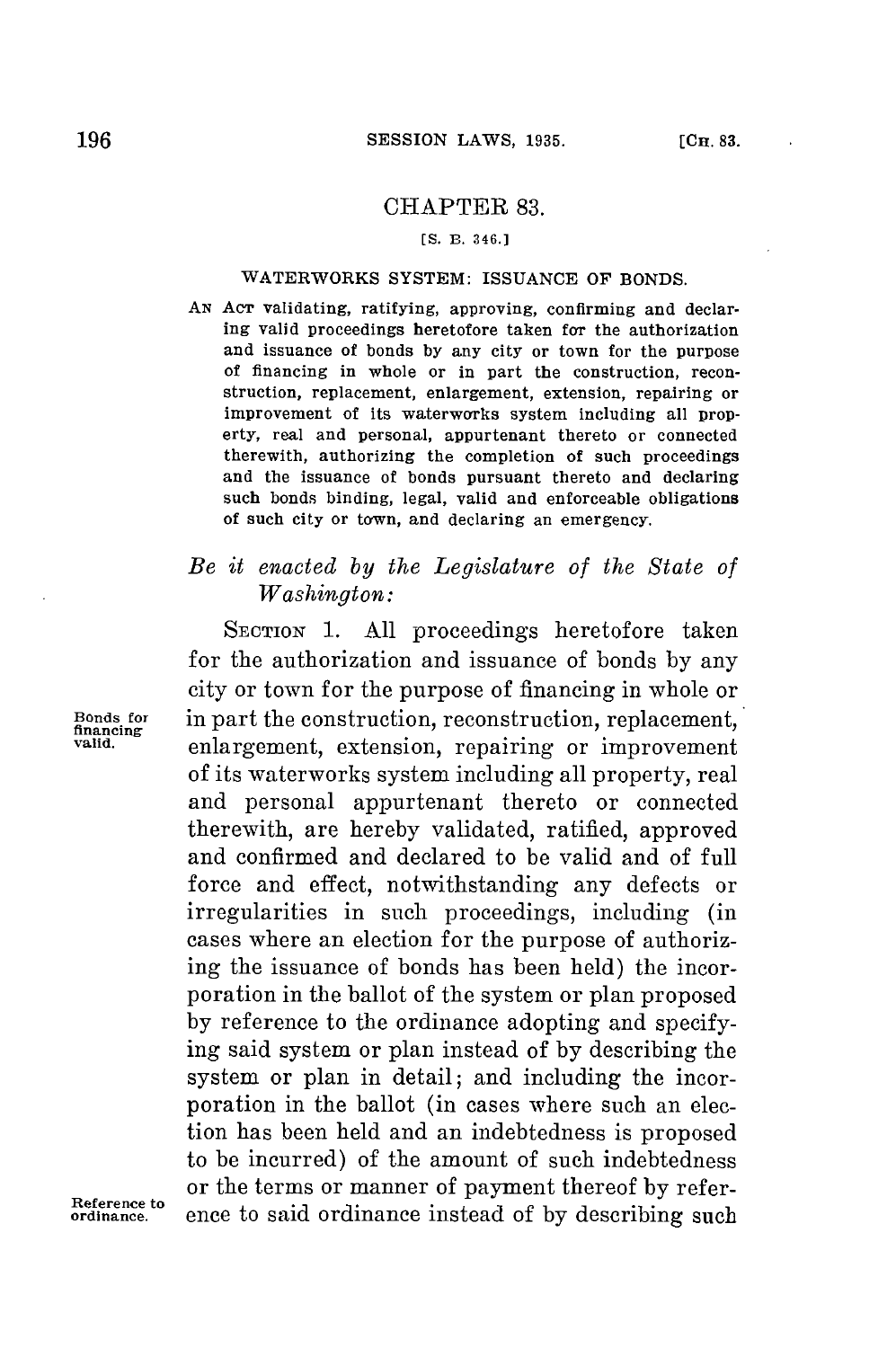## CHAPTER **83.**

## **[S.** B. **346.]**

## WATERWORKS SYSTEM: **ISSUANCE** OF **BONDS.**

**AN Acr** validating, ratifying, approving, confirming and declaring valid proceedings heretofore taken for the authorization and issuance of bonds **by** any city or town for the purpose of financing in whole or in part the construction, reconstruction, replacement, enlargement, extension, repairing or improvement of its waterworks system including all property, real and personal, appurtenant thereto or connected therewith, authorizing the completion of such proceedings and the issuance of bonds pursuant thereto and declaring such bonds binding, legal, valid and enforceable obligations of such city or town, and declaring an emergency.

## *Be it enacted by the Legislature of the State of Washington:*

SECTION **1. All** proceedings heretofore taken for the authorization and issuance of bonds **by** any city or town for the purpose of financing in whole or **Bonds for** in part the construction, reconstruction, replacement, **financing** enlargement, extension, repairing or improvement of its waterworks system including all property, real and personal appurtenant thereto or connected therewith, are hereby validated, ratified, approved and confirmed and declared to be valid and of full force and effect, notwithstanding any defects or irregularities in such proceedings, including (in cases where an election for the purpose of authorizing the issuance of bonds has been held) the incorporation in the ballot of the system or plan proposed **by** reference to the ordinance adopting and specifying said system or plan instead of **by** describing the system or plan in detail; and including the incorporation in the ballot (in cases where such an election has been held and an indebtedness is proposed to be incurred) of the amount of such indebtedness or the terms or manner of payment thereof **by** reference to said ordinance instead of by describing such